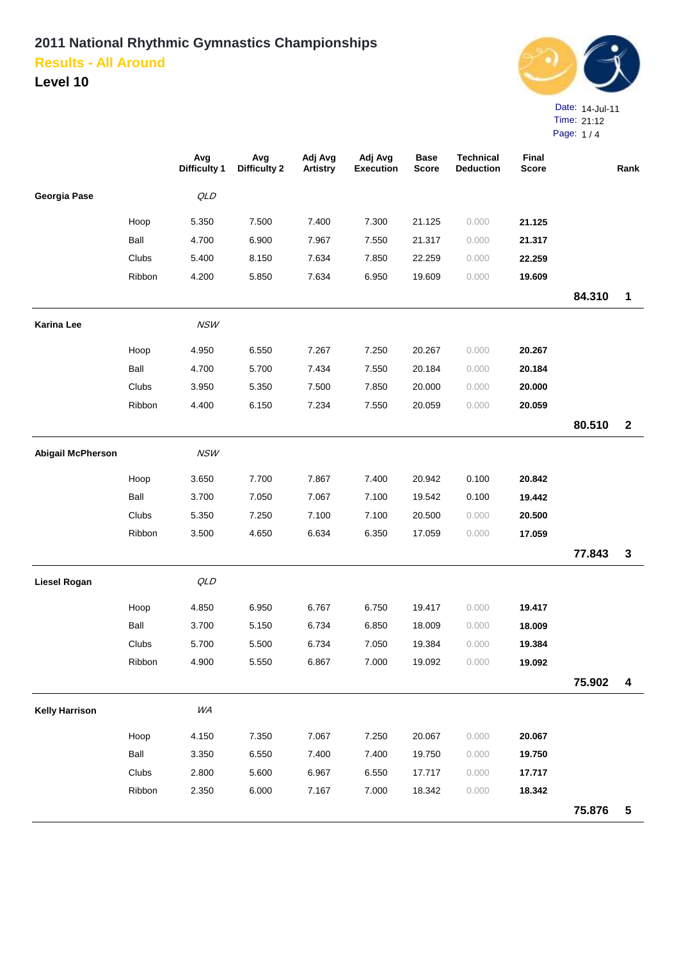

|                          |        | Avg                 | Avg                 | Adj Avg         | Adj Avg          | <b>Base</b>  | <b>Technical</b> | Final        |        |              |
|--------------------------|--------|---------------------|---------------------|-----------------|------------------|--------------|------------------|--------------|--------|--------------|
|                          |        | <b>Difficulty 1</b> | <b>Difficulty 2</b> | <b>Artistry</b> | <b>Execution</b> | <b>Score</b> | <b>Deduction</b> | <b>Score</b> |        | Rank         |
| Georgia Pase             |        | QLD                 |                     |                 |                  |              |                  |              |        |              |
|                          | Hoop   | 5.350               | 7.500               | 7.400           | 7.300            | 21.125       | 0.000            | 21.125       |        |              |
|                          | Ball   | 4.700               | 6.900               | 7.967           | 7.550            | 21.317       | 0.000            | 21.317       |        |              |
|                          | Clubs  | 5.400               | 8.150               | 7.634           | 7.850            | 22.259       | 0.000            | 22.259       |        |              |
|                          | Ribbon | 4.200               | 5.850               | 7.634           | 6.950            | 19.609       | 0.000            | 19.609       |        |              |
|                          |        |                     |                     |                 |                  |              |                  |              | 84.310 | 1            |
| Karina Lee               |        | <b>NSW</b>          |                     |                 |                  |              |                  |              |        |              |
|                          | Hoop   | 4.950               | 6.550               | 7.267           | 7.250            | 20.267       | 0.000            | 20.267       |        |              |
|                          | Ball   | 4.700               | 5.700               | 7.434           | 7.550            | 20.184       | 0.000            | 20.184       |        |              |
|                          | Clubs  | 3.950               | 5.350               | 7.500           | 7.850            | 20.000       | 0.000            | 20.000       |        |              |
|                          | Ribbon | 4.400               | 6.150               | 7.234           | 7.550            | 20.059       | 0.000            | 20.059       |        |              |
|                          |        |                     |                     |                 |                  |              |                  |              | 80.510 | $\mathbf{2}$ |
| <b>Abigail McPherson</b> |        | <b>NSW</b>          |                     |                 |                  |              |                  |              |        |              |
|                          | Hoop   | 3.650               | 7.700               | 7.867           | 7.400            | 20.942       | 0.100            | 20.842       |        |              |
|                          | Ball   | 3.700               | 7.050               | 7.067           | 7.100            | 19.542       | 0.100            | 19.442       |        |              |
|                          | Clubs  | 5.350               | 7.250               | 7.100           | 7.100            | 20.500       | 0.000            | 20.500       |        |              |
|                          | Ribbon | 3.500               | 4.650               | 6.634           | 6.350            | 17.059       | 0.000            | 17.059       |        |              |
|                          |        |                     |                     |                 |                  |              |                  |              | 77.843 | $\mathbf{3}$ |
| Liesel Rogan             |        | QLD                 |                     |                 |                  |              |                  |              |        |              |
|                          | Hoop   | 4.850               | 6.950               | 6.767           | 6.750            | 19.417       | 0.000            | 19.417       |        |              |
|                          | Ball   | 3.700               | 5.150               | 6.734           | 6.850            | 18.009       | 0.000            | 18.009       |        |              |
|                          | Clubs  | 5.700               | 5.500               | 6.734           | 7.050            | 19.384       | 0.000            | 19.384       |        |              |
|                          | Ribbon | 4.900               | 5.550               | 6.867           | 7.000            | 19.092       | 0.000            | 19.092       |        |              |
|                          |        |                     |                     |                 |                  |              |                  |              | 75.902 | 4            |
| <b>Kelly Harrison</b>    |        | WA                  |                     |                 |                  |              |                  |              |        |              |
|                          | Hoop   | 4.150               | 7.350               | 7.067           | 7.250            | 20.067       | 0.000            | 20.067       |        |              |
|                          | Ball   | 3.350               | 6.550               | 7.400           | 7.400            | 19.750       | 0.000            | 19.750       |        |              |
|                          | Clubs  | 2.800               | 5.600               | 6.967           | 6.550            | 17.717       | 0.000            | 17.717       |        |              |
|                          | Ribbon | 2.350               | 6.000               | 7.167           | 7.000            | 18.342       | 0.000            | 18.342       |        |              |
|                          |        |                     |                     |                 |                  |              |                  |              | 75.876 | $\sqrt{5}$   |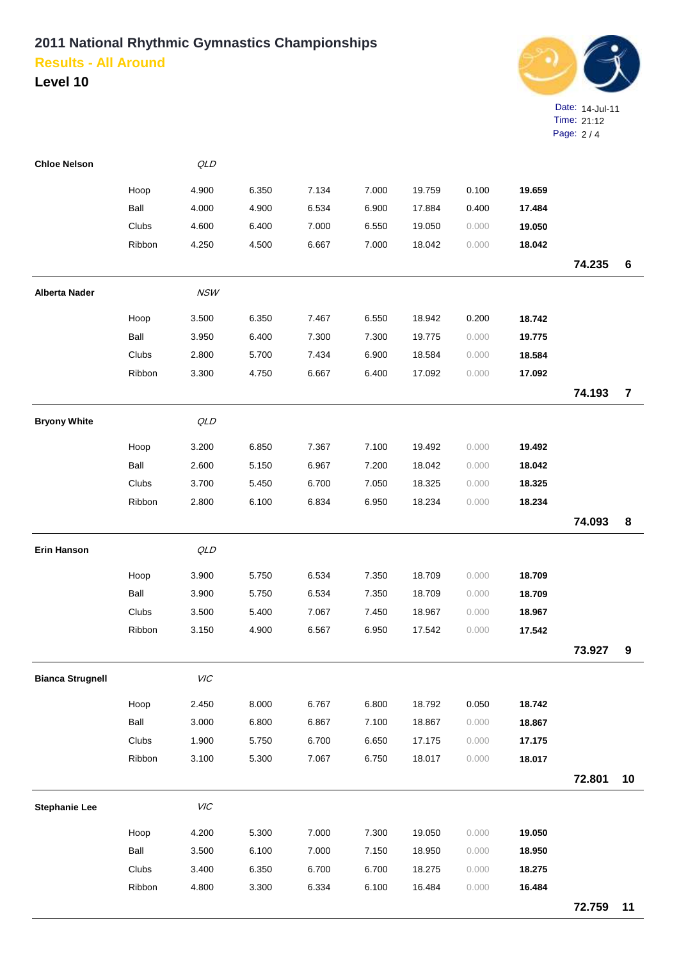

| <b>Chloe Nelson</b>     |        | QLD        |       |       |       |        |       |        |        |                |
|-------------------------|--------|------------|-------|-------|-------|--------|-------|--------|--------|----------------|
|                         | Hoop   | 4.900      | 6.350 | 7.134 | 7.000 | 19.759 | 0.100 | 19.659 |        |                |
|                         | Ball   | 4.000      | 4.900 | 6.534 | 6.900 | 17.884 | 0.400 | 17.484 |        |                |
|                         | Clubs  | 4.600      | 6.400 | 7.000 | 6.550 | 19.050 | 0.000 | 19.050 |        |                |
|                         | Ribbon | 4.250      | 4.500 | 6.667 | 7.000 | 18.042 | 0.000 | 18.042 |        |                |
|                         |        |            |       |       |       |        |       |        | 74.235 | $\bf 6$        |
| <b>Alberta Nader</b>    |        | <b>NSW</b> |       |       |       |        |       |        |        |                |
|                         | Hoop   | 3.500      | 6.350 | 7.467 | 6.550 | 18.942 | 0.200 | 18.742 |        |                |
|                         | Ball   | 3.950      | 6.400 | 7.300 | 7.300 | 19.775 | 0.000 | 19.775 |        |                |
|                         | Clubs  | 2.800      | 5.700 | 7.434 | 6.900 | 18.584 | 0.000 | 18.584 |        |                |
|                         | Ribbon | 3.300      | 4.750 | 6.667 | 6.400 | 17.092 | 0.000 | 17.092 |        |                |
|                         |        |            |       |       |       |        |       |        | 74.193 | $\overline{7}$ |
| <b>Bryony White</b>     |        | QLD        |       |       |       |        |       |        |        |                |
|                         | Hoop   | 3.200      | 6.850 | 7.367 | 7.100 | 19.492 | 0.000 | 19.492 |        |                |
|                         | Ball   | 2.600      | 5.150 | 6.967 | 7.200 | 18.042 | 0.000 | 18.042 |        |                |
|                         | Clubs  | 3.700      | 5.450 | 6.700 | 7.050 | 18.325 | 0.000 | 18.325 |        |                |
|                         | Ribbon | 2.800      | 6.100 | 6.834 | 6.950 | 18.234 | 0.000 | 18.234 |        |                |
|                         |        |            |       |       |       |        |       |        | 74.093 | 8              |
| <b>Erin Hanson</b>      |        | QLD        |       |       |       |        |       |        |        |                |
|                         | Hoop   | 3.900      | 5.750 | 6.534 | 7.350 | 18.709 | 0.000 | 18.709 |        |                |
|                         | Ball   | 3.900      | 5.750 | 6.534 | 7.350 | 18.709 | 0.000 | 18.709 |        |                |
|                         | Clubs  | 3.500      | 5.400 | 7.067 | 7.450 | 18.967 | 0.000 | 18.967 |        |                |
|                         | Ribbon | 3.150      | 4.900 | 6.567 | 6.950 | 17.542 | 0.000 | 17.542 |        |                |
|                         |        |            |       |       |       |        |       |        | 73.927 | 9              |
| <b>Bianca Strugnell</b> |        | VIC        |       |       |       |        |       |        |        |                |
|                         | Hoop   | 2.450      | 8.000 | 6.767 | 6.800 | 18.792 | 0.050 | 18.742 |        |                |
|                         | Ball   | 3.000      | 6.800 | 6.867 | 7.100 | 18.867 | 0.000 | 18.867 |        |                |
|                         | Clubs  | 1.900      | 5.750 | 6.700 | 6.650 | 17.175 | 0.000 | 17.175 |        |                |
|                         | Ribbon | 3.100      | 5.300 | 7.067 | 6.750 | 18.017 | 0.000 | 18.017 |        |                |
|                         |        |            |       |       |       |        |       |        | 72.801 | 10             |
| <b>Stephanie Lee</b>    |        | VIC        |       |       |       |        |       |        |        |                |
|                         | Hoop   | 4.200      | 5.300 | 7.000 | 7.300 | 19.050 | 0.000 | 19.050 |        |                |
|                         | Ball   | 3.500      | 6.100 | 7.000 | 7.150 | 18.950 | 0.000 | 18.950 |        |                |
|                         | Clubs  | 3.400      | 6.350 | 6.700 | 6.700 | 18.275 | 0.000 | 18.275 |        |                |
|                         | Ribbon | 4.800      | 3.300 | 6.334 | 6.100 | 16.484 | 0.000 | 16.484 |        |                |
|                         |        |            |       |       |       |        |       |        | 72.759 | 11             |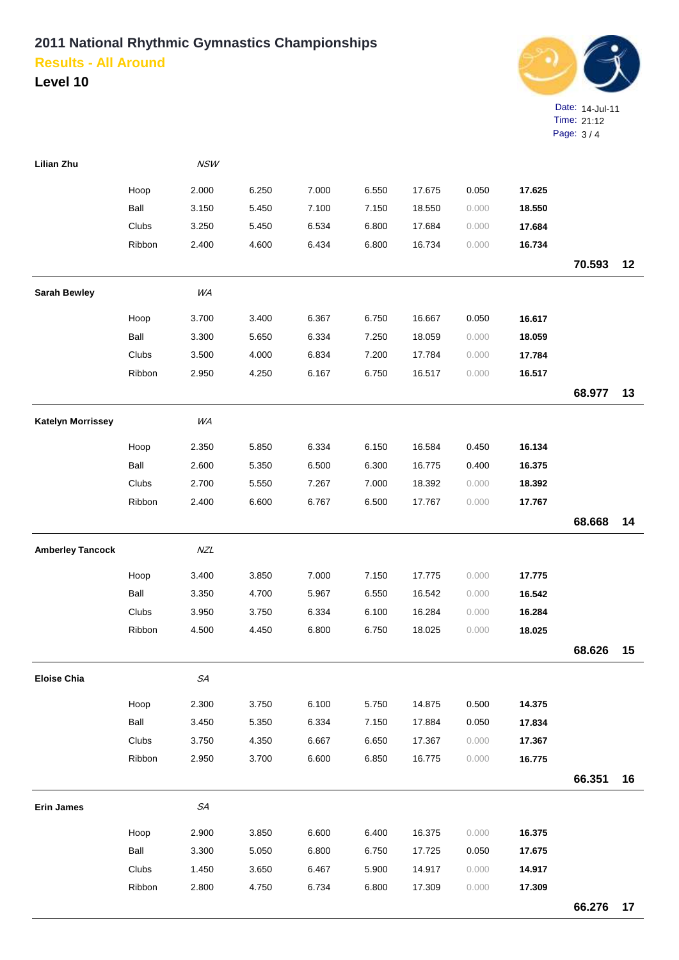

| <b>Lilian Zhu</b>        |        | <b>NSW</b>  |       |       |       |        |       |        |        |    |
|--------------------------|--------|-------------|-------|-------|-------|--------|-------|--------|--------|----|
|                          | Hoop   | 2.000       | 6.250 | 7.000 | 6.550 | 17.675 | 0.050 | 17.625 |        |    |
|                          | Ball   | 3.150       | 5.450 | 7.100 | 7.150 | 18.550 | 0.000 | 18.550 |        |    |
|                          | Clubs  | 3.250       | 5.450 | 6.534 | 6.800 | 17.684 | 0.000 | 17.684 |        |    |
|                          | Ribbon | 2.400       | 4.600 | 6.434 | 6.800 | 16.734 | 0.000 | 16.734 |        |    |
|                          |        |             |       |       |       |        |       |        | 70.593 | 12 |
| <b>Sarah Bewley</b>      |        | WA          |       |       |       |        |       |        |        |    |
|                          | Hoop   | 3.700       | 3.400 | 6.367 | 6.750 | 16.667 | 0.050 | 16.617 |        |    |
|                          | Ball   | 3.300       | 5.650 | 6.334 | 7.250 | 18.059 | 0.000 | 18.059 |        |    |
|                          | Clubs  | 3.500       | 4.000 | 6.834 | 7.200 | 17.784 | 0.000 | 17.784 |        |    |
|                          | Ribbon | 2.950       | 4.250 | 6.167 | 6.750 | 16.517 | 0.000 | 16.517 |        |    |
|                          |        |             |       |       |       |        |       |        | 68.977 | 13 |
| <b>Katelyn Morrissey</b> |        | WA          |       |       |       |        |       |        |        |    |
|                          | Hoop   | 2.350       | 5.850 | 6.334 | 6.150 | 16.584 | 0.450 | 16.134 |        |    |
|                          | Ball   | 2.600       | 5.350 | 6.500 | 6.300 | 16.775 | 0.400 | 16.375 |        |    |
|                          | Clubs  | 2.700       | 5.550 | 7.267 | 7.000 | 18.392 | 0.000 | 18.392 |        |    |
|                          | Ribbon | 2.400       | 6.600 | 6.767 | 6.500 | 17.767 | 0.000 | 17.767 |        |    |
|                          |        |             |       |       |       |        |       |        | 68.668 | 14 |
| <b>Amberley Tancock</b>  |        | NZL         |       |       |       |        |       |        |        |    |
|                          | Hoop   | 3.400       | 3.850 | 7.000 | 7.150 | 17.775 | 0.000 | 17.775 |        |    |
|                          | Ball   | 3.350       | 4.700 | 5.967 | 6.550 | 16.542 | 0.000 | 16.542 |        |    |
|                          | Clubs  | 3.950       | 3.750 | 6.334 | 6.100 | 16.284 | 0.000 | 16.284 |        |    |
|                          | Ribbon | 4.500       | 4.450 | 6.800 | 6.750 | 18.025 | 0.000 | 18.025 |        |    |
|                          |        |             |       |       |       |        |       |        | 68.626 | 15 |
| <b>Eloise Chia</b>       |        | ${\cal SA}$ |       |       |       |        |       |        |        |    |
|                          | Hoop   | 2.300       | 3.750 | 6.100 | 5.750 | 14.875 | 0.500 | 14.375 |        |    |
|                          | Ball   | 3.450       | 5.350 | 6.334 | 7.150 | 17.884 | 0.050 | 17.834 |        |    |
|                          | Clubs  | 3.750       | 4.350 | 6.667 | 6.650 | 17.367 | 0.000 | 17.367 |        |    |
|                          | Ribbon | 2.950       | 3.700 | 6.600 | 6.850 | 16.775 | 0.000 | 16.775 |        |    |
|                          |        |             |       |       |       |        |       |        | 66.351 | 16 |
| <b>Erin James</b>        |        | ${\cal SA}$ |       |       |       |        |       |        |        |    |
|                          | Hoop   | 2.900       | 3.850 | 6.600 | 6.400 | 16.375 | 0.000 | 16.375 |        |    |
|                          | Ball   | 3.300       | 5.050 | 6.800 | 6.750 | 17.725 | 0.050 | 17.675 |        |    |
|                          | Clubs  | 1.450       | 3.650 | 6.467 | 5.900 | 14.917 | 0.000 | 14.917 |        |    |
|                          | Ribbon | 2.800       | 4.750 | 6.734 | 6.800 | 17.309 | 0.000 | 17.309 |        |    |
|                          |        |             |       |       |       |        |       |        | 66.276 | 17 |